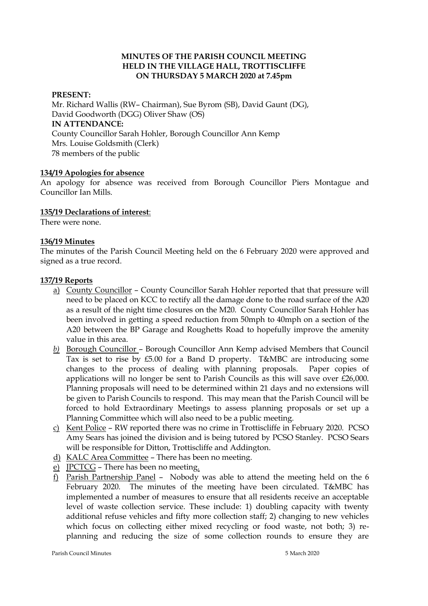## **MINUTES OF THE PARISH COUNCIL MEETING HELD IN THE VILLAGE HALL, TROTTISCLIFFE ON THURSDAY 5 MARCH 2020 at 7.45pm**

### **PRESENT:**

Mr. Richard Wallis (RW– Chairman), Sue Byrom (SB), David Gaunt (DG), David Goodworth (DGG) Oliver Shaw (OS) **IN ATTENDANCE:**  County Councillor Sarah Hohler, Borough Councillor Ann Kemp Mrs. Louise Goldsmith (Clerk) 78 members of the public

### **134/19 Apologies for absence**

An apology for absence was received from Borough Councillor Piers Montague and Councillor Ian Mills.

### **135/19 Declarations of interest**:

There were none.

### **136/19 Minutes**

The minutes of the Parish Council Meeting held on the 6 February 2020 were approved and signed as a true record.

### **137/19 Reports**

- a) County Councillor County Councillor Sarah Hohler reported that that pressure will need to be placed on KCC to rectify all the damage done to the road surface of the A20 as a result of the night time closures on the M20. County Councillor Sarah Hohler has been involved in getting a speed reduction from 50mph to 40mph on a section of the A20 between the BP Garage and Roughetts Road to hopefully improve the amenity value in this area.
- *b)* Borough Councillor Borough Councillor Ann Kemp advised Members that Council Tax is set to rise by £5.00 for a Band D property. T&MBC are introducing some changes to the process of dealing with planning proposals. Paper copies of applications will no longer be sent to Parish Councils as this will save over £26,000. Planning proposals will need to be determined within 21 days and no extensions will be given to Parish Councils to respond. This may mean that the Parish Council will be forced to hold Extraordinary Meetings to assess planning proposals or set up a Planning Committee which will also need to be a public meeting.
- c) Kent Police RW reported there was no crime in Trottiscliffe in February 2020. PCSO Amy Sears has joined the division and is being tutored by PCSO Stanley. PCSO Sears will be responsible for Ditton, Trottiscliffe and Addington.
- d) KALC Area Committee There has been no meeting.
- e) JPCTCG There has been no meeting.
- f) Parish Partnership Panel Nobody was able to attend the meeting held on the 6 February 2020. The minutes of the meeting have been circulated. T&MBC has implemented a number of measures to ensure that all residents receive an acceptable level of waste collection service. These include: 1) doubling capacity with twenty additional refuse vehicles and fifty more collection staff; 2) changing to new vehicles which focus on collecting either mixed recycling or food waste, not both; 3) replanning and reducing the size of some collection rounds to ensure they are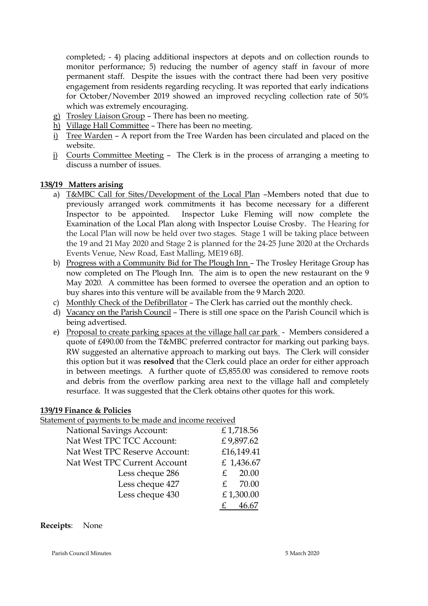completed; - 4) placing additional inspectors at depots and on collection rounds to monitor performance; 5) reducing the number of agency staff in favour of more permanent staff. Despite the issues with the contract there had been very positive engagement from residents regarding recycling. It was reported that early indications for October/November 2019 showed an improved recycling collection rate of 50% which was extremely encouraging.

- g) Trosley Liaison Group There has been no meeting.
- h) Village Hall Committee There has been no meeting.
- i) Tree Warden A report from the Tree Warden has been circulated and placed on the website.
- j) Courts Committee Meeting The Clerk is in the process of arranging a meeting to discuss a number of issues.

## **138/19 Matters arising**

- a) T&MBC Call for Sites/Development of the Local Plan –Members noted that due to previously arranged work commitments it has become necessary for a different Inspector to be appointed. Inspector Luke Fleming will now complete the Examination of the Local Plan along with Inspector Louise Crosby. The Hearing for the Local Plan will now be held over two stages. Stage 1 will be taking place between the 19 and 21 May 2020 and Stage 2 is planned for the 24-25 June 2020 at the Orchards Events Venue, New Road, East Malling, ME19 6BJ.
- b) Progress with a Community Bid for The Plough Inn The Trosley Heritage Group has now completed on The Plough Inn. The aim is to open the new restaurant on the 9 May 2020. A committee has been formed to oversee the operation and an option to buy shares into this venture will be available from the 9 March 2020.
- c) Monthly Check of the Defibrillator The Clerk has carried out the monthly check.
- d) Vacancy on the Parish Council There is still one space on the Parish Council which is being advertised.
- e) Proposal to create parking spaces at the village hall car park Members considered a quote of £490.00 from the T&MBC preferred contractor for marking out parking bays. RW suggested an alternative approach to marking out bays. The Clerk will consider this option but it was **resolved** that the Clerk could place an order for either approach in between meetings. A further quote of £5,855.00 was considered to remove roots and debris from the overflow parking area next to the village hall and completely resurface. It was suggested that the Clerk obtains other quotes for this work.

## **139/19 Finance & Policies**

Statement of payments to be made and income received

| <b>National Savings Account:</b> | £1,718.56   |
|----------------------------------|-------------|
| Nat West TPC TCC Account:        | £9,897.62   |
| Nat West TPC Reserve Account:    | £16,149.41  |
| Nat West TPC Current Account     | £ 1,436.67  |
| Less cheque 286                  | 20.00<br>£  |
| Less cheque 427                  | 70.00<br>£. |
| Less cheque 430                  | £1,300.00   |
|                                  |             |

## **Receipts**: None

Parish Council Minutes 5 March 2020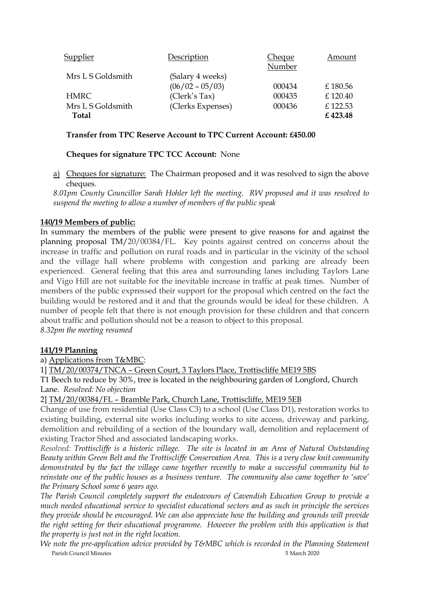| Supplier                          | Description                           | Cheque<br>Number | Amount             |
|-----------------------------------|---------------------------------------|------------------|--------------------|
| Mrs L S Goldsmith                 | (Salary 4 weeks)<br>$(06/02 - 05/03)$ | 000434           | £180.56            |
| <b>HMRC</b>                       | (Clerk's Tax)                         | 000435           | £120.40            |
| Mrs L S Goldsmith<br><b>Total</b> | (Clerks Expenses)                     | 000436           | £122.53<br>£423.48 |

## **Transfer from TPC Reserve Account to TPC Current Account: £450.00**

# **Cheques for signature TPC TCC Account:** None

a) Cheques for signature: The Chairman proposed and it was resolved to sign the above cheques.

*8.01pm County Councillor Sarah Hohler left the meeting. RW proposed and it was resolved to suspend the meeting to allow a number of members of the public speak*

## **140/19 Members of public:**

In summary the members of the public were present to give reasons for and against the planning proposal TM/20/00384/FL. Key points against centred on concerns about the increase in traffic and pollution on rural roads and in particular in the vicinity of the school and the village hall where problems with congestion and parking are already been experienced. General feeling that this area and surrounding lanes including Taylors Lane and Vigo Hill are not suitable for the inevitable increase in traffic at peak times. Number of members of the public expressed their support for the proposal which centred on the fact the building would be restored and it and that the grounds would be ideal for these children. A number of people felt that there is not enough provision for these children and that concern about traffic and pollution should not be a reason to object to this proposal. *8.32pm the meeting resumed*

## **141/19 Planning**

a) Applications from T&MBC:

1] TM/20/00374/TNCA – Green Court, 3 Taylors Place, Trottiscliffe ME19 5BS

T1 Beech to reduce by 30%, tree is located in the neighbouring garden of Longford, Church Lane. *Resolved: No objection* 

2] TM/20/00384/FL – Bramble Park, Church Lane, Trottiscliffe, ME19 5EB

Change of use from residential (Use Class C3) to a school (Use Class D1), restoration works to existing building, external site works including works to site access, driveway and parking, demolition and rebuilding of a section of the boundary wall, demolition and replacement of existing Tractor Shed and associated landscaping works.

*Resolved: Trottiscliffe is a historic village. The site is located in an Area of Natural Outstanding Beauty within Green Belt and the Trottiscliffe Conservation Area. This is a very close knit community demonstrated by the fact the village came together recently to make a successful community bid to reinstate one of the public houses as a business venture. The community also came together to 'save' the Primary School some 6 years ago.*

*The Parish Council completely support the endeavours of Cavendish Education Group to provide a much needed educational service to specialist educational sectors and as such in principle the services they provide should be encouraged. We can also appreciate how the building and grounds will provide the right setting for their educational programme. However the problem with this application is that the property is just not in the right location.* 

Parish Council Minutes 5 March 2020 *We note the pre-application advice provided by T&MBC which is recorded in the Planning Statement*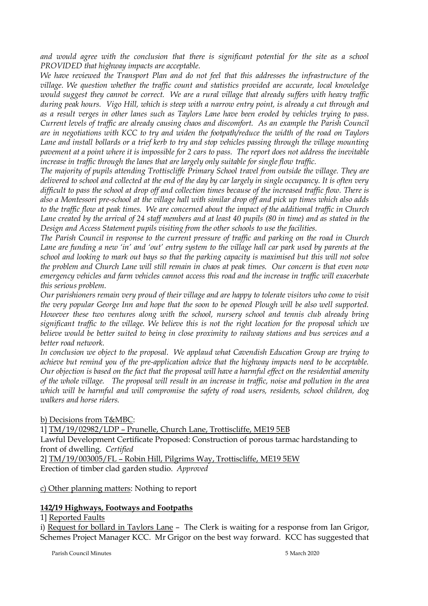and would agree with the conclusion that there is significant potential for the site as a school *PROVIDED that highway impacts are acceptable.*

*We have reviewed the Transport Plan and do not feel that this addresses the infrastructure of the village. We question whether the traffic count and statistics provided are accurate, local knowledge would suggest they cannot be correct. We are a rural village that already suffers with heavy traffic during peak hours. Vigo Hill, which is steep with a narrow entry point, is already a cut through and as a result verges in other lanes such as Taylors Lane have been eroded by vehicles trying to pass. Current levels of traffic are already causing chaos and discomfort. As an example the Parish Council are in negotiations with KCC to try and widen the footpath/reduce the width of the road on Taylors Lane and install bollards or a trief kerb to try and stop vehicles passing through the village mounting pavement at a point where it is impossible for 2 cars to pass. The report does not address the inevitable increase in traffic through the lanes that are largely only suitable for single flow traffic.*

*The majority of pupils attending Trottiscliffe Primary School travel from outside the village. They are delivered to school and collected at the end of the day by car largely in single occupancy. It is often very difficult to pass the school at drop off and collection times because of the increased traffic flow. There is also a Montessori pre-school at the village hall with similar drop off and pick up times which also adds to the traffic flow at peak times. We are concerned about the impact of the additional traffic in Church Lane created by the arrival of 24 staff members and at least 40 pupils (80 in time) and as stated in the Design and Access Statement pupils visiting from the other schools to use the facilities.* 

*The Parish Council in response to the current pressure of traffic and parking on the road in Church Lane are funding a new 'in' and 'out' entry system to the village hall car park used by parents at the school and looking to mark out bays so that the parking capacity is maximised but this will not solve the problem and Church Lane will still remain in chaos at peak times. Our concern is that even now emergency vehicles and farm vehicles cannot access this road and the increase in traffic will exacerbate this serious problem.* 

*Our parishioners remain very proud of their village and are happy to tolerate visitors who come to visit the very popular George Inn and hope that the soon to be opened Plough will be also well supported. However these two ventures along with the school, nursery school and tennis club already bring significant traffic to the village. We believe this is not the right location for the proposal which we believe would be better suited to being in close proximity to railway stations and bus services and a better road network.* 

*In conclusion we object to the proposal. We applaud what Cavendish Education Group are trying to achieve but remind you of the pre-application advice that the highway impacts need to be acceptable. Our objection is based on the fact that the proposal will have a harmful effect on the residential amenity of the whole village. The proposal will result in an increase in traffic, noise and pollution in the area which will be harmful and will compromise the safety of road users, residents, school children, dog walkers and horse riders.* 

b) Decisions from T&MBC:

1] TM/19/02982/LDP – Prunelle, Church Lane, Trottiscliffe, ME19 5EB

Lawful Development Certificate Proposed: Construction of porous tarmac hardstanding to front of dwelling. *Certified*

2] TM/19/003005/FL – Robin Hill, Pilgrims Way, Trottiscliffe, ME19 5EW Erection of timber clad garden studio. *Approved*

c) Other planning matters: Nothing to report

## **142/19 Highways, Footways and Footpaths**

1] Reported Faults

i) Request for bollard in Taylors Lane - The Clerk is waiting for a response from Ian Grigor, Schemes Project Manager KCC. Mr Grigor on the best way forward. KCC has suggested that

Parish Council Minutes 5 March 2020